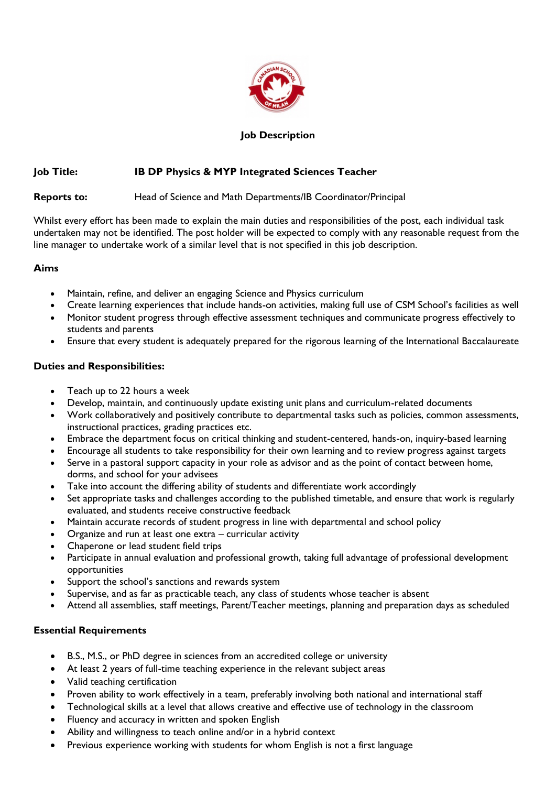

## **Job Description**

## **Job Title: IB DP Physics & MYP Integrated Sciences Teacher**

**Reports to:** Head of Science and Math Departments/IB Coordinator/Principal

Whilst every effort has been made to explain the main duties and responsibilities of the post, each individual task undertaken may not be identified. The post holder will be expected to comply with any reasonable request from the line manager to undertake work of a similar level that is not specified in this job description.

#### **Aims**

- Maintain, refine, and deliver an engaging Science and Physics curriculum
- Create learning experiences that include hands-on activities, making full use of CSM School's facilities as well • Monitor student progress through effective assessment techniques and communicate progress effectively to
- students and parents • Ensure that every student is adequately prepared for the rigorous learning of the International Baccalaureate

### **Duties and Responsibilities:**

- Teach up to 22 hours a week
- Develop, maintain, and continuously update existing unit plans and curriculum-related documents
- Work collaboratively and positively contribute to departmental tasks such as policies, common assessments, instructional practices, grading practices etc.
- Embrace the department focus on critical thinking and student-centered, hands-on, inquiry-based learning
- Encourage all students to take responsibility for their own learning and to review progress against targets
- Serve in a pastoral support capacity in your role as advisor and as the point of contact between home, dorms, and school for your advisees
- Take into account the differing ability of students and differentiate work accordingly
- Set appropriate tasks and challenges according to the published timetable, and ensure that work is regularly evaluated, and students receive constructive feedback
- Maintain accurate records of student progress in line with departmental and school policy
- Organize and run at least one extra curricular activity
- Chaperone or lead student field trips
- Participate in annual evaluation and professional growth, taking full advantage of professional development opportunities
- Support the school's sanctions and rewards system
- Supervise, and as far as practicable teach, any class of students whose teacher is absent
- Attend all assemblies, staff meetings, Parent/Teacher meetings, planning and preparation days as scheduled

# **Essential Requirements**

- B.S., M.S., or PhD degree in sciences from an accredited college or university
- At least 2 years of full-time teaching experience in the relevant subject areas
- Valid teaching certification
- Proven ability to work effectively in a team, preferably involving both national and international staff
- Technological skills at a level that allows creative and effective use of technology in the classroom
- Fluency and accuracy in written and spoken English
- Ability and willingness to teach online and/or in a hybrid context
- Previous experience working with students for whom English is not a first language